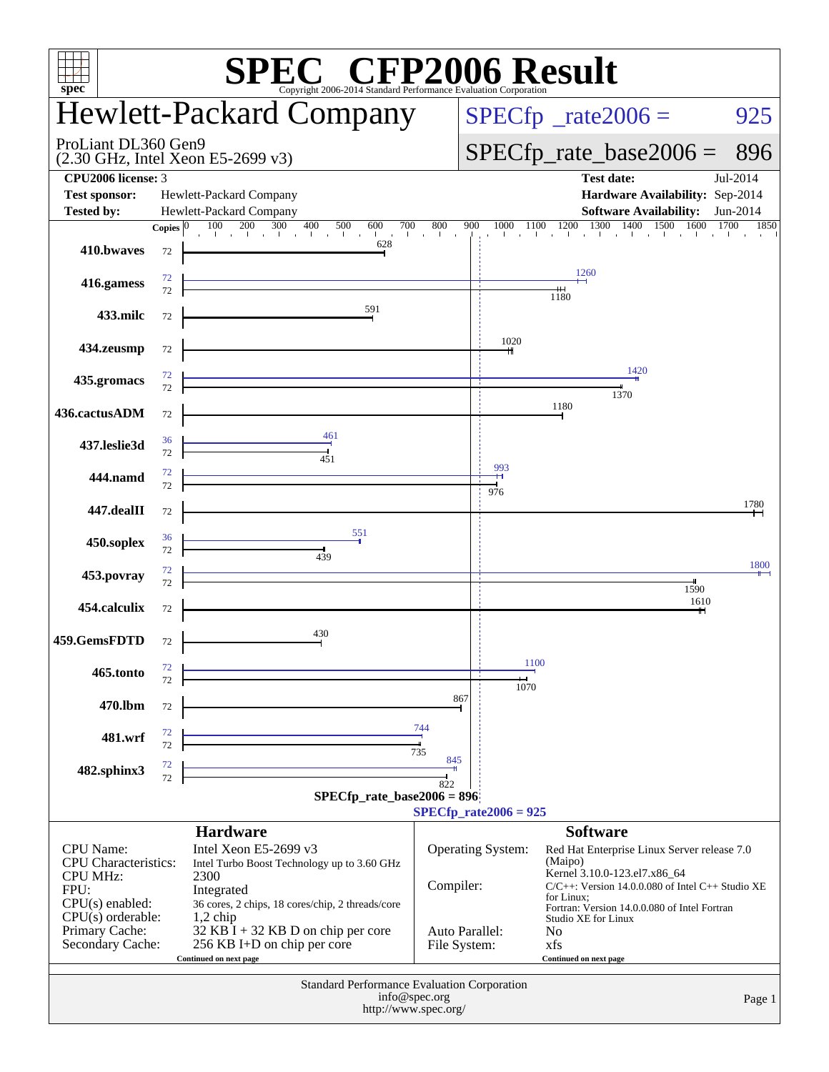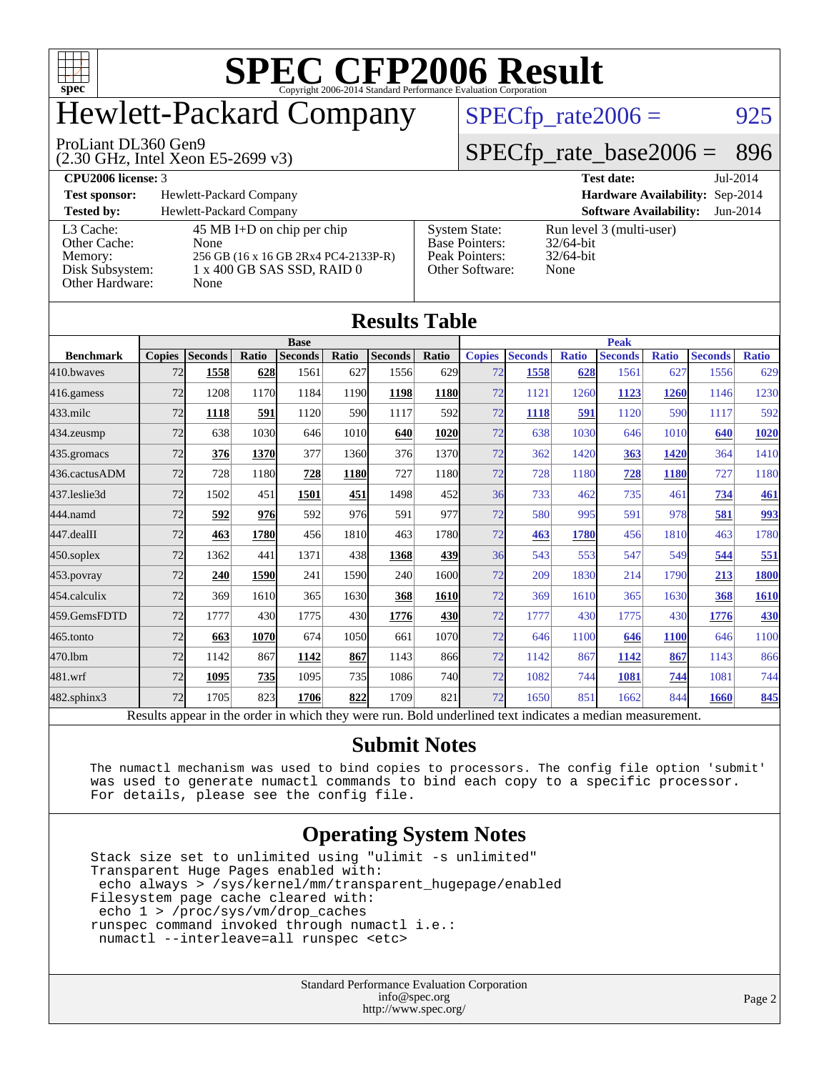

# Hewlett-Packard Company

#### ProLiant DL360 Gen9

(2.30 GHz, Intel Xeon E5-2699 v3)

 $SPECTp_rate2006 = 925$ 

#### [SPECfp\\_rate\\_base2006 =](http://www.spec.org/auto/cpu2006/Docs/result-fields.html#SPECfpratebase2006) 896

**[CPU2006 license:](http://www.spec.org/auto/cpu2006/Docs/result-fields.html#CPU2006license)** 3 **[Test date:](http://www.spec.org/auto/cpu2006/Docs/result-fields.html#Testdate)** Jul-2014

**[Test sponsor:](http://www.spec.org/auto/cpu2006/Docs/result-fields.html#Testsponsor)** Hewlett-Packard Company **[Hardware Availability:](http://www.spec.org/auto/cpu2006/Docs/result-fields.html#HardwareAvailability)** Sep-2014

**[Tested by:](http://www.spec.org/auto/cpu2006/Docs/result-fields.html#Testedby)** Hewlett-Packard Company **[Software Availability:](http://www.spec.org/auto/cpu2006/Docs/result-fields.html#SoftwareAvailability)** Jun-2014 [L3 Cache:](http://www.spec.org/auto/cpu2006/Docs/result-fields.html#L3Cache) 45 MB I+D on chip per chip<br>Other Cache: None [Other Cache:](http://www.spec.org/auto/cpu2006/Docs/result-fields.html#OtherCache)

[Other Hardware:](http://www.spec.org/auto/cpu2006/Docs/result-fields.html#OtherHardware) None

[Memory:](http://www.spec.org/auto/cpu2006/Docs/result-fields.html#Memory) 256 GB (16 x 16 GB 2Rx4 PC4-2133P-R) [Disk Subsystem:](http://www.spec.org/auto/cpu2006/Docs/result-fields.html#DiskSubsystem) 1 x 400 GB SAS SSD, RAID 0

| <b>System State:</b><br><b>Base Pointers:</b><br>Peak Pointers:<br>Other Software: | Run 1<br>32/64<br>32/64<br>None |
|------------------------------------------------------------------------------------|---------------------------------|
|                                                                                    |                                 |

un level 3 (multi-user)  $2/64$ -bit  $2/64$ -bit

| <b>Results Table</b>                                                                                     |               |                |             |                |       |                |            |               |                |              |                |              |                |              |
|----------------------------------------------------------------------------------------------------------|---------------|----------------|-------------|----------------|-------|----------------|------------|---------------|----------------|--------------|----------------|--------------|----------------|--------------|
|                                                                                                          | <b>Base</b>   |                |             | <b>Peak</b>    |       |                |            |               |                |              |                |              |                |              |
| <b>Benchmark</b>                                                                                         | <b>Copies</b> | <b>Seconds</b> | Ratio       | <b>Seconds</b> | Ratio | <b>Seconds</b> | Ratio      | <b>Copies</b> | <b>Seconds</b> | <b>Ratio</b> | <b>Seconds</b> | <b>Ratio</b> | <b>Seconds</b> | <b>Ratio</b> |
| 410.bwayes                                                                                               | 72            | 1558           | 628         | 1561           | 627   | 1556           | 629        | 72            | 1558           | 628          | 1561           | 627          | 1556           | 629          |
| 416.gamess                                                                                               | 72            | 1208           | 1170        | 1184           | 1190  | 1198           | 1180       | 72            | 1121           | 1260         | 1123           | 1260         | 1146           | 1230         |
| $433$ .milc                                                                                              | 72            | 1118           | 591         | 1120           | 590   | 1117           | 592l       | 72            | 1118           | 591          | 1120           | 590          | 1117           | 592          |
| 434.zeusmp                                                                                               | 72            | 638            | 1030        | 646            | 1010  | 640            | 1020       | 72            | 638            | 1030         | 646            | 1010         | 640            | 1020         |
| 435.gromacs                                                                                              | 72            | 376            | 1370        | 377            | 1360  | 376            | 1370       | 72            | 362            | 1420         | 363            | 1420         | 364            | 1410         |
| 436.cactusADM                                                                                            | 72            | 728            | 1180        | 728            | 1180  | 727            | 1180       | 72            | 728            | 1180         | 728            | 1180         | 727            | 1180         |
| 437.leslie3d                                                                                             | 72            | 1502           | 451         | 1501           | 451   | 1498           | 452l       | 36            | 733            | 462          | 735            | 461          | 734            | <b>461</b>   |
| 444.namd                                                                                                 | 72            | 592            | 976         | 592            | 976   | 591            | 977        | 72            | 580            | 995          | 591            | 978          | 581            | 993          |
| 447.dealII                                                                                               | 72            | 463            | <b>1780</b> | 456            | 1810  | 463            | 1780       | 72            | 463            | 1780         | 456            | 1810         | 463            | 1780         |
| $450$ .soplex                                                                                            | 72            | 1362           | 441         | 1371           | 438   | 1368           | 439l       | 36            | 543            | 553          | 547            | 549          | 544            | 551          |
| 453.povray                                                                                               | 72            | 240            | 1590        | 241            | 1590  | 240            | 1600       | 72            | 209            | 1830         | 214            | 1790         | 213            | 1800         |
| 454.calculix                                                                                             | 72            | 369            | 1610        | 365            | 1630  | 368            | 1610       | 72            | 369            | 1610         | 365            | 1630         | 368            | <b>1610</b>  |
| 459.GemsFDTD                                                                                             | 72            | 1777           | 430         | 1775           | 430   | 1776           | <b>430</b> | 72            | 1777           | 430          | 1775           | 430          | 1776           | <b>430</b>   |
| 465.tonto                                                                                                | 72            | 663            | 1070        | 674            | 1050  | 661            | 1070       | 72            | 646            | 1100         | 646            | 1100         | 646            | 1100         |
| 470.1bm                                                                                                  | 72            | 1142           | 867         | 1142           | 867   | 1143           | 866        | 72            | 1142           | 867          | 1142           | 867          | 1143           | 866          |
| 481.wrf                                                                                                  | 72            | 1095           | 735         | 1095           | 735   | 1086           | <b>740</b> | 72            | 1082           | 744          | 1081           | 744          | 1081           | 744          |
| 482.sphinx3                                                                                              | 72            | 1705           | 823         | 1706           | 822   | 1709           | 821        | 72            | 1650           | 851          | 1662           | 844          | 1660           | 845          |
| Results appear in the order in which they were run. Bold underlined text indicates a median measurement. |               |                |             |                |       |                |            |               |                |              |                |              |                |              |

#### **[Submit Notes](http://www.spec.org/auto/cpu2006/Docs/result-fields.html#SubmitNotes)**

 The numactl mechanism was used to bind copies to processors. The config file option 'submit' was used to generate numactl commands to bind each copy to a specific processor. For details, please see the config file.

#### **[Operating System Notes](http://www.spec.org/auto/cpu2006/Docs/result-fields.html#OperatingSystemNotes)**

 Stack size set to unlimited using "ulimit -s unlimited" Transparent Huge Pages enabled with: echo always > /sys/kernel/mm/transparent\_hugepage/enabled Filesystem page cache cleared with: echo 1 > /proc/sys/vm/drop\_caches runspec command invoked through numactl i.e.: numactl --interleave=all runspec <etc>

> Standard Performance Evaluation Corporation [info@spec.org](mailto:info@spec.org) <http://www.spec.org/>

Page 2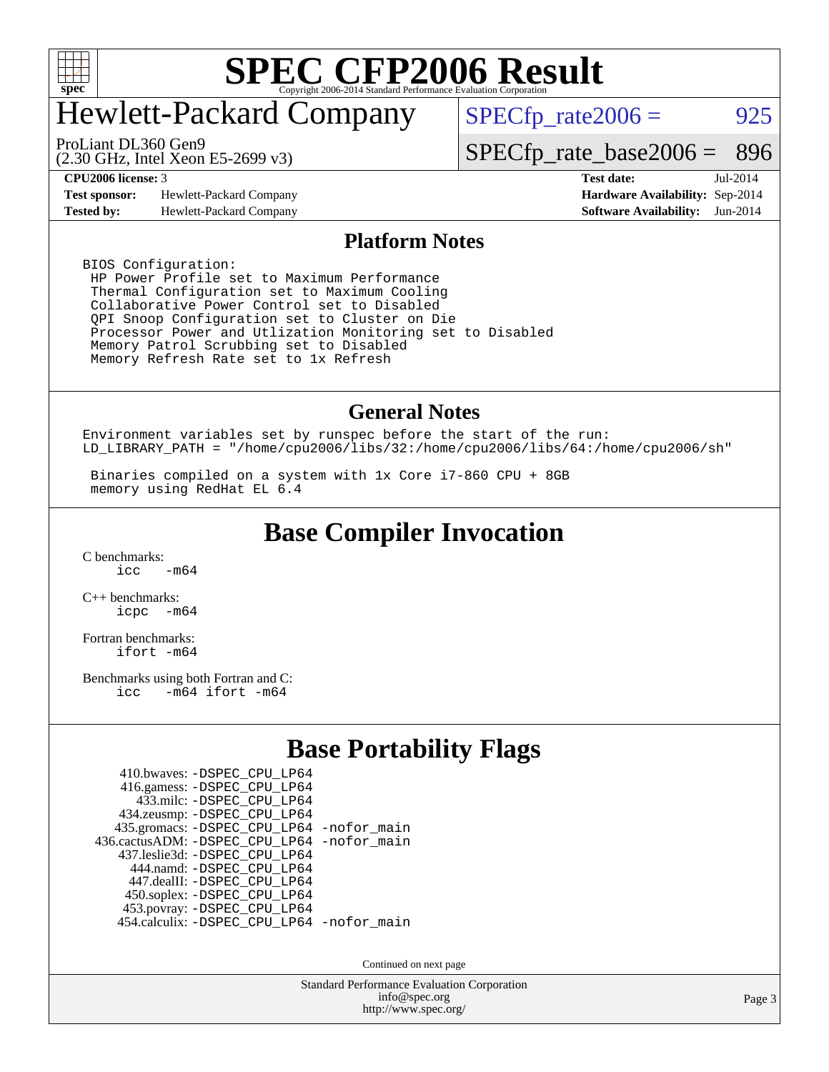

# Hewlett-Packard Company

 $SPECfp_rate2006 = 925$  $SPECfp_rate2006 = 925$ 

(2.30 GHz, Intel Xeon E5-2699 v3) ProLiant DL360 Gen9

[SPECfp\\_rate\\_base2006 =](http://www.spec.org/auto/cpu2006/Docs/result-fields.html#SPECfpratebase2006) 896

**[Test sponsor:](http://www.spec.org/auto/cpu2006/Docs/result-fields.html#Testsponsor)** Hewlett-Packard Company **[Hardware Availability:](http://www.spec.org/auto/cpu2006/Docs/result-fields.html#HardwareAvailability)** Sep-2014

**[CPU2006 license:](http://www.spec.org/auto/cpu2006/Docs/result-fields.html#CPU2006license)** 3 **[Test date:](http://www.spec.org/auto/cpu2006/Docs/result-fields.html#Testdate)** Jul-2014 **[Tested by:](http://www.spec.org/auto/cpu2006/Docs/result-fields.html#Testedby)** Hewlett-Packard Company **[Software Availability:](http://www.spec.org/auto/cpu2006/Docs/result-fields.html#SoftwareAvailability)** Jun-2014

#### **[Platform Notes](http://www.spec.org/auto/cpu2006/Docs/result-fields.html#PlatformNotes)**

BIOS Configuration: HP Power Profile set to Maximum Performance Thermal Configuration set to Maximum Cooling Collaborative Power Control set to Disabled QPI Snoop Configuration set to Cluster on Die Processor Power and Utlization Monitoring set to Disabled Memory Patrol Scrubbing set to Disabled Memory Refresh Rate set to 1x Refresh

#### **[General Notes](http://www.spec.org/auto/cpu2006/Docs/result-fields.html#GeneralNotes)**

Environment variables set by runspec before the start of the run: LD\_LIBRARY\_PATH = "/home/cpu2006/libs/32:/home/cpu2006/libs/64:/home/cpu2006/sh"

 Binaries compiled on a system with 1x Core i7-860 CPU + 8GB memory using RedHat EL 6.4

#### **[Base Compiler Invocation](http://www.spec.org/auto/cpu2006/Docs/result-fields.html#BaseCompilerInvocation)**

[C benchmarks](http://www.spec.org/auto/cpu2006/Docs/result-fields.html#Cbenchmarks):  $\frac{1}{2}$ cc  $-\text{m64}$ 

[C++ benchmarks:](http://www.spec.org/auto/cpu2006/Docs/result-fields.html#CXXbenchmarks) [icpc -m64](http://www.spec.org/cpu2006/results/res2014q3/cpu2006-20140908-31270.flags.html#user_CXXbase_intel_icpc_64bit_bedb90c1146cab66620883ef4f41a67e)

[Fortran benchmarks](http://www.spec.org/auto/cpu2006/Docs/result-fields.html#Fortranbenchmarks): [ifort -m64](http://www.spec.org/cpu2006/results/res2014q3/cpu2006-20140908-31270.flags.html#user_FCbase_intel_ifort_64bit_ee9d0fb25645d0210d97eb0527dcc06e)

[Benchmarks using both Fortran and C](http://www.spec.org/auto/cpu2006/Docs/result-fields.html#BenchmarksusingbothFortranandC): [icc -m64](http://www.spec.org/cpu2006/results/res2014q3/cpu2006-20140908-31270.flags.html#user_CC_FCbase_intel_icc_64bit_0b7121f5ab7cfabee23d88897260401c) [ifort -m64](http://www.spec.org/cpu2006/results/res2014q3/cpu2006-20140908-31270.flags.html#user_CC_FCbase_intel_ifort_64bit_ee9d0fb25645d0210d97eb0527dcc06e)

#### **[Base Portability Flags](http://www.spec.org/auto/cpu2006/Docs/result-fields.html#BasePortabilityFlags)**

| 410.bwaves: - DSPEC CPU LP64               |  |
|--------------------------------------------|--|
| 416.gamess: -DSPEC_CPU_LP64                |  |
| 433.milc: -DSPEC CPU LP64                  |  |
| 434.zeusmp: -DSPEC_CPU_LP64                |  |
| 435.gromacs: -DSPEC_CPU_LP64 -nofor_main   |  |
| 436.cactusADM: -DSPEC CPU LP64 -nofor main |  |
| 437.leslie3d: -DSPEC CPU LP64              |  |
| 444.namd: - DSPEC_CPU_LP64                 |  |
| 447.dealII: -DSPEC CPU LP64                |  |
| 450.soplex: -DSPEC_CPU_LP64                |  |
| 453.povray: -DSPEC_CPU_LP64                |  |
| 454.calculix: -DSPEC_CPU_LP64 -nofor_main  |  |

Continued on next page

Standard Performance Evaluation Corporation [info@spec.org](mailto:info@spec.org) <http://www.spec.org/>

Page 3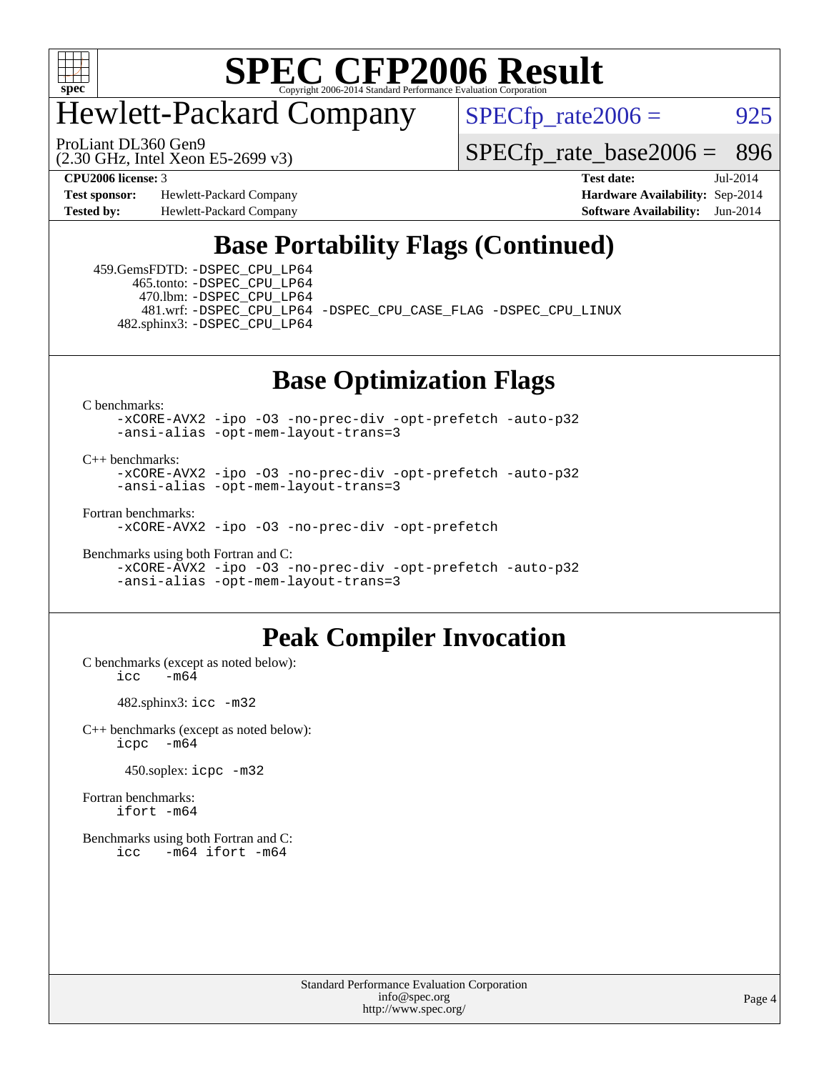

## Hewlett-Packard Company

 $SPECfp_rate2006 = 925$  $SPECfp_rate2006 = 925$ 

(2.30 GHz, Intel Xeon E5-2699 v3) ProLiant DL360 Gen9

[SPECfp\\_rate\\_base2006 =](http://www.spec.org/auto/cpu2006/Docs/result-fields.html#SPECfpratebase2006) 896

**[Test sponsor:](http://www.spec.org/auto/cpu2006/Docs/result-fields.html#Testsponsor)** Hewlett-Packard Company **[Hardware Availability:](http://www.spec.org/auto/cpu2006/Docs/result-fields.html#HardwareAvailability)** Sep-2014 **[Tested by:](http://www.spec.org/auto/cpu2006/Docs/result-fields.html#Testedby)** Hewlett-Packard Company **[Software Availability:](http://www.spec.org/auto/cpu2006/Docs/result-fields.html#SoftwareAvailability)** Jun-2014

**[CPU2006 license:](http://www.spec.org/auto/cpu2006/Docs/result-fields.html#CPU2006license)** 3 **[Test date:](http://www.spec.org/auto/cpu2006/Docs/result-fields.html#Testdate)** Jul-2014

### **[Base Portability Flags \(Continued\)](http://www.spec.org/auto/cpu2006/Docs/result-fields.html#BasePortabilityFlags)**

 459.GemsFDTD: [-DSPEC\\_CPU\\_LP64](http://www.spec.org/cpu2006/results/res2014q3/cpu2006-20140908-31270.flags.html#suite_basePORTABILITY459_GemsFDTD_DSPEC_CPU_LP64) 465.tonto: [-DSPEC\\_CPU\\_LP64](http://www.spec.org/cpu2006/results/res2014q3/cpu2006-20140908-31270.flags.html#suite_basePORTABILITY465_tonto_DSPEC_CPU_LP64) 470.lbm: [-DSPEC\\_CPU\\_LP64](http://www.spec.org/cpu2006/results/res2014q3/cpu2006-20140908-31270.flags.html#suite_basePORTABILITY470_lbm_DSPEC_CPU_LP64) 482.sphinx3: [-DSPEC\\_CPU\\_LP64](http://www.spec.org/cpu2006/results/res2014q3/cpu2006-20140908-31270.flags.html#suite_basePORTABILITY482_sphinx3_DSPEC_CPU_LP64)

481.wrf: [-DSPEC\\_CPU\\_LP64](http://www.spec.org/cpu2006/results/res2014q3/cpu2006-20140908-31270.flags.html#suite_basePORTABILITY481_wrf_DSPEC_CPU_LP64) [-DSPEC\\_CPU\\_CASE\\_FLAG](http://www.spec.org/cpu2006/results/res2014q3/cpu2006-20140908-31270.flags.html#b481.wrf_baseCPORTABILITY_DSPEC_CPU_CASE_FLAG) [-DSPEC\\_CPU\\_LINUX](http://www.spec.org/cpu2006/results/res2014q3/cpu2006-20140908-31270.flags.html#b481.wrf_baseCPORTABILITY_DSPEC_CPU_LINUX)

#### **[Base Optimization Flags](http://www.spec.org/auto/cpu2006/Docs/result-fields.html#BaseOptimizationFlags)**

[C benchmarks](http://www.spec.org/auto/cpu2006/Docs/result-fields.html#Cbenchmarks):

[-xCORE-AVX2](http://www.spec.org/cpu2006/results/res2014q3/cpu2006-20140908-31270.flags.html#user_CCbase_f-xAVX2_5f5fc0cbe2c9f62c816d3e45806c70d7) [-ipo](http://www.spec.org/cpu2006/results/res2014q3/cpu2006-20140908-31270.flags.html#user_CCbase_f-ipo) [-O3](http://www.spec.org/cpu2006/results/res2014q3/cpu2006-20140908-31270.flags.html#user_CCbase_f-O3) [-no-prec-div](http://www.spec.org/cpu2006/results/res2014q3/cpu2006-20140908-31270.flags.html#user_CCbase_f-no-prec-div) [-opt-prefetch](http://www.spec.org/cpu2006/results/res2014q3/cpu2006-20140908-31270.flags.html#user_CCbase_f-opt-prefetch) [-auto-p32](http://www.spec.org/cpu2006/results/res2014q3/cpu2006-20140908-31270.flags.html#user_CCbase_f-auto-p32) [-ansi-alias](http://www.spec.org/cpu2006/results/res2014q3/cpu2006-20140908-31270.flags.html#user_CCbase_f-ansi-alias) [-opt-mem-layout-trans=3](http://www.spec.org/cpu2006/results/res2014q3/cpu2006-20140908-31270.flags.html#user_CCbase_f-opt-mem-layout-trans_a7b82ad4bd7abf52556d4961a2ae94d5)

[C++ benchmarks:](http://www.spec.org/auto/cpu2006/Docs/result-fields.html#CXXbenchmarks)

[-xCORE-AVX2](http://www.spec.org/cpu2006/results/res2014q3/cpu2006-20140908-31270.flags.html#user_CXXbase_f-xAVX2_5f5fc0cbe2c9f62c816d3e45806c70d7) [-ipo](http://www.spec.org/cpu2006/results/res2014q3/cpu2006-20140908-31270.flags.html#user_CXXbase_f-ipo) [-O3](http://www.spec.org/cpu2006/results/res2014q3/cpu2006-20140908-31270.flags.html#user_CXXbase_f-O3) [-no-prec-div](http://www.spec.org/cpu2006/results/res2014q3/cpu2006-20140908-31270.flags.html#user_CXXbase_f-no-prec-div) [-opt-prefetch](http://www.spec.org/cpu2006/results/res2014q3/cpu2006-20140908-31270.flags.html#user_CXXbase_f-opt-prefetch) [-auto-p32](http://www.spec.org/cpu2006/results/res2014q3/cpu2006-20140908-31270.flags.html#user_CXXbase_f-auto-p32) [-ansi-alias](http://www.spec.org/cpu2006/results/res2014q3/cpu2006-20140908-31270.flags.html#user_CXXbase_f-ansi-alias) [-opt-mem-layout-trans=3](http://www.spec.org/cpu2006/results/res2014q3/cpu2006-20140908-31270.flags.html#user_CXXbase_f-opt-mem-layout-trans_a7b82ad4bd7abf52556d4961a2ae94d5)

[Fortran benchmarks](http://www.spec.org/auto/cpu2006/Docs/result-fields.html#Fortranbenchmarks): [-xCORE-AVX2](http://www.spec.org/cpu2006/results/res2014q3/cpu2006-20140908-31270.flags.html#user_FCbase_f-xAVX2_5f5fc0cbe2c9f62c816d3e45806c70d7) [-ipo](http://www.spec.org/cpu2006/results/res2014q3/cpu2006-20140908-31270.flags.html#user_FCbase_f-ipo) [-O3](http://www.spec.org/cpu2006/results/res2014q3/cpu2006-20140908-31270.flags.html#user_FCbase_f-O3) [-no-prec-div](http://www.spec.org/cpu2006/results/res2014q3/cpu2006-20140908-31270.flags.html#user_FCbase_f-no-prec-div) [-opt-prefetch](http://www.spec.org/cpu2006/results/res2014q3/cpu2006-20140908-31270.flags.html#user_FCbase_f-opt-prefetch)

[Benchmarks using both Fortran and C](http://www.spec.org/auto/cpu2006/Docs/result-fields.html#BenchmarksusingbothFortranandC):

[-xCORE-AVX2](http://www.spec.org/cpu2006/results/res2014q3/cpu2006-20140908-31270.flags.html#user_CC_FCbase_f-xAVX2_5f5fc0cbe2c9f62c816d3e45806c70d7) [-ipo](http://www.spec.org/cpu2006/results/res2014q3/cpu2006-20140908-31270.flags.html#user_CC_FCbase_f-ipo) [-O3](http://www.spec.org/cpu2006/results/res2014q3/cpu2006-20140908-31270.flags.html#user_CC_FCbase_f-O3) [-no-prec-div](http://www.spec.org/cpu2006/results/res2014q3/cpu2006-20140908-31270.flags.html#user_CC_FCbase_f-no-prec-div) [-opt-prefetch](http://www.spec.org/cpu2006/results/res2014q3/cpu2006-20140908-31270.flags.html#user_CC_FCbase_f-opt-prefetch) [-auto-p32](http://www.spec.org/cpu2006/results/res2014q3/cpu2006-20140908-31270.flags.html#user_CC_FCbase_f-auto-p32) [-ansi-alias](http://www.spec.org/cpu2006/results/res2014q3/cpu2006-20140908-31270.flags.html#user_CC_FCbase_f-ansi-alias) [-opt-mem-layout-trans=3](http://www.spec.org/cpu2006/results/res2014q3/cpu2006-20140908-31270.flags.html#user_CC_FCbase_f-opt-mem-layout-trans_a7b82ad4bd7abf52556d4961a2ae94d5)

#### **[Peak Compiler Invocation](http://www.spec.org/auto/cpu2006/Docs/result-fields.html#PeakCompilerInvocation)**

[C benchmarks \(except as noted below\)](http://www.spec.org/auto/cpu2006/Docs/result-fields.html#Cbenchmarksexceptasnotedbelow):  $\text{icc}$   $-\text{m64}$ 

482.sphinx3: [icc -m32](http://www.spec.org/cpu2006/results/res2014q3/cpu2006-20140908-31270.flags.html#user_peakCCLD482_sphinx3_intel_icc_a6a621f8d50482236b970c6ac5f55f93)

[C++ benchmarks \(except as noted below\):](http://www.spec.org/auto/cpu2006/Docs/result-fields.html#CXXbenchmarksexceptasnotedbelow) [icpc -m64](http://www.spec.org/cpu2006/results/res2014q3/cpu2006-20140908-31270.flags.html#user_CXXpeak_intel_icpc_64bit_bedb90c1146cab66620883ef4f41a67e)

450.soplex: [icpc -m32](http://www.spec.org/cpu2006/results/res2014q3/cpu2006-20140908-31270.flags.html#user_peakCXXLD450_soplex_intel_icpc_4e5a5ef1a53fd332b3c49e69c3330699)

[Fortran benchmarks](http://www.spec.org/auto/cpu2006/Docs/result-fields.html#Fortranbenchmarks): [ifort -m64](http://www.spec.org/cpu2006/results/res2014q3/cpu2006-20140908-31270.flags.html#user_FCpeak_intel_ifort_64bit_ee9d0fb25645d0210d97eb0527dcc06e)

[Benchmarks using both Fortran and C](http://www.spec.org/auto/cpu2006/Docs/result-fields.html#BenchmarksusingbothFortranandC): [icc -m64](http://www.spec.org/cpu2006/results/res2014q3/cpu2006-20140908-31270.flags.html#user_CC_FCpeak_intel_icc_64bit_0b7121f5ab7cfabee23d88897260401c) [ifort -m64](http://www.spec.org/cpu2006/results/res2014q3/cpu2006-20140908-31270.flags.html#user_CC_FCpeak_intel_ifort_64bit_ee9d0fb25645d0210d97eb0527dcc06e)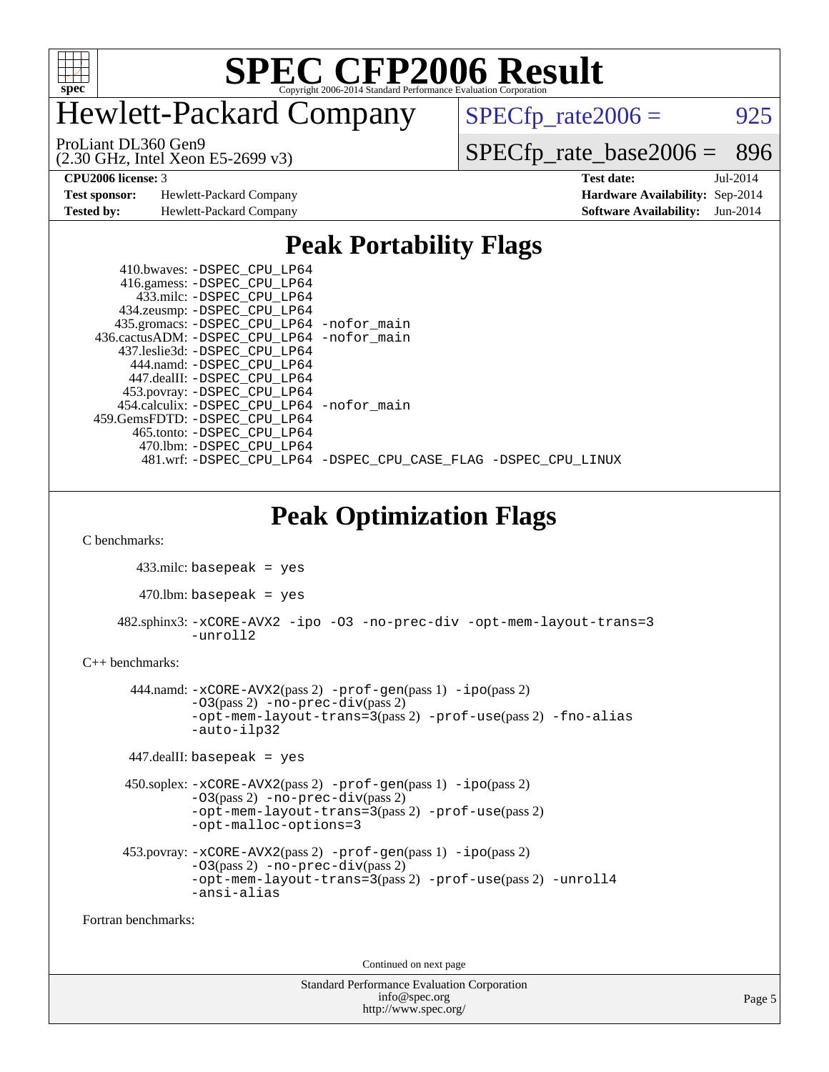

## Hewlett-Packard Company

 $SPECfp_rate2006 = 925$  $SPECfp_rate2006 = 925$ 

(2.30 GHz, Intel Xeon E5-2699 v3) ProLiant DL360 Gen9

[SPECfp\\_rate\\_base2006 =](http://www.spec.org/auto/cpu2006/Docs/result-fields.html#SPECfpratebase2006) 896

**[Test sponsor:](http://www.spec.org/auto/cpu2006/Docs/result-fields.html#Testsponsor)** Hewlett-Packard Company **[Hardware Availability:](http://www.spec.org/auto/cpu2006/Docs/result-fields.html#HardwareAvailability)** Sep-2014 **[Tested by:](http://www.spec.org/auto/cpu2006/Docs/result-fields.html#Testedby)** Hewlett-Packard Company **[Software Availability:](http://www.spec.org/auto/cpu2006/Docs/result-fields.html#SoftwareAvailability)** Jun-2014

**[CPU2006 license:](http://www.spec.org/auto/cpu2006/Docs/result-fields.html#CPU2006license)** 3 **[Test date:](http://www.spec.org/auto/cpu2006/Docs/result-fields.html#Testdate)** Jul-2014

#### **[Peak Portability Flags](http://www.spec.org/auto/cpu2006/Docs/result-fields.html#PeakPortabilityFlags)**

| 410.bwaves: -DSPEC CPU LP64                                    |  |
|----------------------------------------------------------------|--|
| 416.gamess: -DSPEC_CPU_LP64                                    |  |
| 433.milc: -DSPEC CPU LP64                                      |  |
| 434.zeusmp: -DSPEC_CPU_LP64                                    |  |
| 435.gromacs: -DSPEC_CPU_LP64 -nofor_main                       |  |
| 436.cactusADM: -DSPEC_CPU_LP64 -nofor_main                     |  |
| 437.leslie3d: -DSPEC CPU LP64                                  |  |
| 444.namd: -DSPEC CPU LP64                                      |  |
| 447.dealII: -DSPEC CPU LP64                                    |  |
| 453.povray: -DSPEC_CPU_LP64                                    |  |
| 454.calculix: - DSPEC CPU LP64 - nofor main                    |  |
| 459.GemsFDTD: -DSPEC CPU LP64                                  |  |
| 465.tonto: -DSPEC CPU LP64                                     |  |
| 470.1bm: - DSPEC CPU LP64                                      |  |
| 481.wrf: -DSPEC CPU_LP64 -DSPEC_CPU_CASE_FLAG -DSPEC_CPU_LINUX |  |

#### **[Peak Optimization Flags](http://www.spec.org/auto/cpu2006/Docs/result-fields.html#PeakOptimizationFlags)**

[C benchmarks](http://www.spec.org/auto/cpu2006/Docs/result-fields.html#Cbenchmarks):

433.milc: basepeak = yes

 $470.$ lbm: basepeak = yes

 482.sphinx3: [-xCORE-AVX2](http://www.spec.org/cpu2006/results/res2014q3/cpu2006-20140908-31270.flags.html#user_peakOPTIMIZE482_sphinx3_f-xAVX2_5f5fc0cbe2c9f62c816d3e45806c70d7) [-ipo](http://www.spec.org/cpu2006/results/res2014q3/cpu2006-20140908-31270.flags.html#user_peakOPTIMIZE482_sphinx3_f-ipo) [-O3](http://www.spec.org/cpu2006/results/res2014q3/cpu2006-20140908-31270.flags.html#user_peakOPTIMIZE482_sphinx3_f-O3) [-no-prec-div](http://www.spec.org/cpu2006/results/res2014q3/cpu2006-20140908-31270.flags.html#user_peakOPTIMIZE482_sphinx3_f-no-prec-div) [-opt-mem-layout-trans=3](http://www.spec.org/cpu2006/results/res2014q3/cpu2006-20140908-31270.flags.html#user_peakOPTIMIZE482_sphinx3_f-opt-mem-layout-trans_a7b82ad4bd7abf52556d4961a2ae94d5) [-unroll2](http://www.spec.org/cpu2006/results/res2014q3/cpu2006-20140908-31270.flags.html#user_peakCOPTIMIZE482_sphinx3_f-unroll_784dae83bebfb236979b41d2422d7ec2)

#### [C++ benchmarks:](http://www.spec.org/auto/cpu2006/Docs/result-fields.html#CXXbenchmarks)

```
 444.namd: -xCORE-AVX2(pass 2) -prof-gen(pass 1) -ipo(pass 2)
         -03(pass 2) -no-prec-div(pass 2)
         -opt-mem-layout-trans=3(pass 2) -prof-use(pass 2) -fno-alias
         -auto-ilp32
447.dealII: basepeak = yes
450.soplex: -xCORE-AVX2(pass 2) -prof-gen(pass 1) -ipo(pass 2)
         -O3(pass 2) -no-prec-div(pass 2)
         -opt-mem-layout-trans=3(pass 2) -prof-use(pass 2)
         -opt-malloc-options=3
453.povray: -xCORE-AVX2(pass 2) -prof-gen(pass 1) -ipo(pass 2)
         -O3(pass 2) -no-prec-div(pass 2)
```
[-opt-mem-layout-trans=3](http://www.spec.org/cpu2006/results/res2014q3/cpu2006-20140908-31270.flags.html#user_peakPASS2_CXXFLAGS453_povray_f-opt-mem-layout-trans_a7b82ad4bd7abf52556d4961a2ae94d5)(pass 2) [-prof-use](http://www.spec.org/cpu2006/results/res2014q3/cpu2006-20140908-31270.flags.html#user_peakPASS2_CXXFLAGSPASS2_LDFLAGS453_povray_prof_use_bccf7792157ff70d64e32fe3e1250b55)(pass 2) [-unroll4](http://www.spec.org/cpu2006/results/res2014q3/cpu2006-20140908-31270.flags.html#user_peakCXXOPTIMIZE453_povray_f-unroll_4e5e4ed65b7fd20bdcd365bec371b81f) [-ansi-alias](http://www.spec.org/cpu2006/results/res2014q3/cpu2006-20140908-31270.flags.html#user_peakCXXOPTIMIZE453_povray_f-ansi-alias)

[Fortran benchmarks](http://www.spec.org/auto/cpu2006/Docs/result-fields.html#Fortranbenchmarks):

Continued on next page

Standard Performance Evaluation Corporation [info@spec.org](mailto:info@spec.org) <http://www.spec.org/>